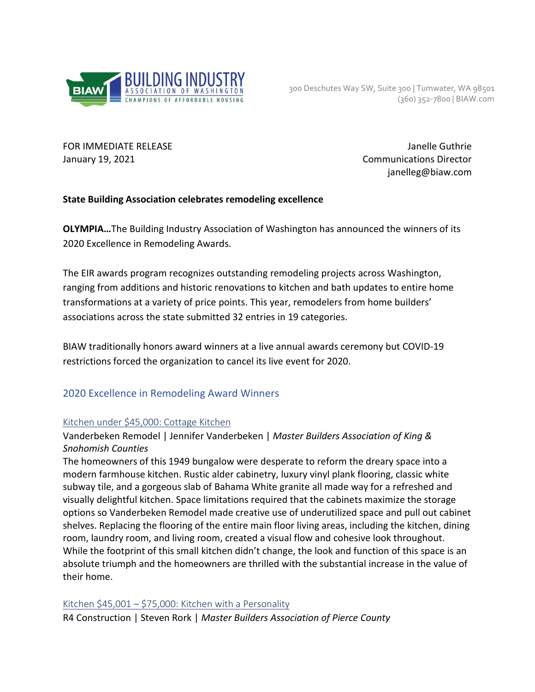

FOR IMMEDIATE RELEASE Janelle Guthrie January 19, 2021 Communications Director janelleg@biaw.com

## **State Building Association celebrates remodeling excellence**

**OLYMPIA…**The Building Industry Association of Washington has announced the winners of its 2020 Excellence in Remodeling Awards.

The EIR awards program recognizes outstanding remodeling projects across Washington, ranging from additions and historic renovations to kitchen and bath updates to entire home transformations at a variety of price points. This year, remodelers from home builders' associations across the state submitted 32 entries in 19 categories.

BIAW traditionally honors award winners at a live annual awards ceremony but COVID-19 restrictions forced the organization to cancel its live event for 2020.

## 2020 Excellence in Remodeling Award Winners

#### Kitchen under \$45,000: Cottage Kitchen

## Vanderbeken Remodel | Jennifer Vanderbeken | *Master Builders Association of King & Snohomish Counties*

The homeowners of this 1949 bungalow were desperate to reform the dreary space into a modern farmhouse kitchen. Rustic alder cabinetry, luxury vinyl plank flooring, classic white subway tile, and a gorgeous slab of Bahama White granite all made way for a refreshed and visually delightful kitchen. Space limitations required that the cabinets maximize the storage options so Vanderbeken Remodel made creative use of underutilized space and pull out cabinet shelves. Replacing the flooring of the entire main floor living areas, including the kitchen, dining room, laundry room, and living room, created a visual flow and cohesive look throughout. While the footprint of this small kitchen didn't change, the look and function of this space is an absolute triumph and the homeowners are thrilled with the substantial increase in the value of their home.

#### Kitchen \$45,001 – \$75,000: Kitchen with a Personality

R4 Construction | Steven Rork | *Master Builders Association of Pierce County*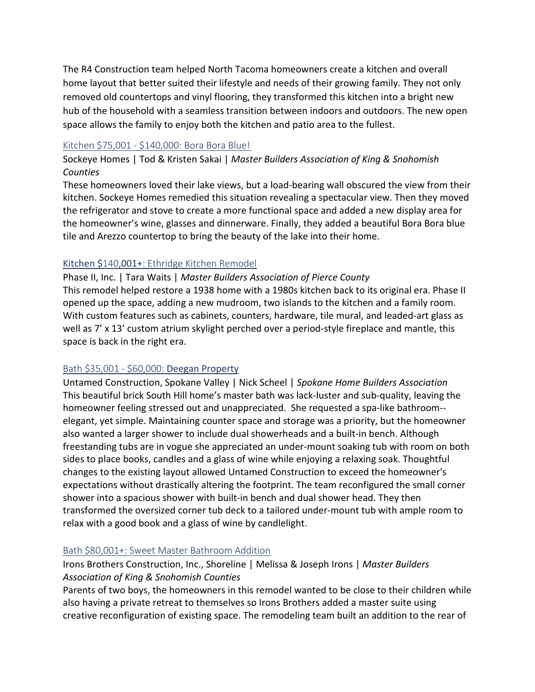The R4 Construction team helped North Tacoma homeowners create a kitchen and overall home layout that better suited their lifestyle and needs of their growing family. They not only removed old countertops and vinyl flooring, they transformed this kitchen into a bright new hub of the household with a seamless transition between indoors and outdoors. The new open space allows the family to enjoy both the kitchen and patio area to the fullest.

#### Kitchen \$75,001 - \$140,000: Bora Bora Blue!

Sockeye Homes | Tod & Kristen Sakai | *Master Builders Association of King & Snohomish Counties*

These homeowners loved their lake views, but a load-bearing wall obscured the view from their kitchen. Sockeye Homes remedied this situation revealing a spectacular view. Then they moved the refrigerator and stove to create a more functional space and added a new display area for the homeowner's wine, glasses and dinnerware. Finally, they added a beautiful Bora Bora blue tile and Arezzo countertop to bring the beauty of the lake into their home.

## Kitchen \$140,001+: Ethridge Kitchen Remodel

## Phase II, Inc. | Tara Waits | *Master Builders Association of Pierce County*

This remodel helped restore a 1938 home with a 1980s kitchen back to its original era. Phase II opened up the space, adding a new mudroom, two islands to the kitchen and a family room. With custom features such as cabinets, counters, hardware, tile mural, and leaded-art glass as well as 7' x 13' custom atrium skylight perched over a period-style fireplace and mantle, this space is back in the right era.

## Bath \$35,001 - \$60,000: Deegan Property

Untamed Construction, Spokane Valley | Nick Scheel | *Spokane Home Builders Association* This beautiful brick South Hill home's master bath was lack-luster and sub-quality, leaving the homeowner feeling stressed out and unappreciated. She requested a spa-like bathroom- elegant, yet simple. Maintaining counter space and storage was a priority, but the homeowner also wanted a larger shower to include dual showerheads and a built-in bench. Although freestanding tubs are in vogue she appreciated an under-mount soaking tub with room on both sides to place books, candles and a glass of wine while enjoying a relaxing soak. Thoughtful changes to the existing layout allowed Untamed Construction to exceed the homeowner's expectations without drastically altering the footprint. The team reconfigured the small corner shower into a spacious shower with built-in bench and dual shower head. They then transformed the oversized corner tub deck to a tailored under-mount tub with ample room to relax with a good book and a glass of wine by candlelight.

## Bath \$80,001+: Sweet Master Bathroom Addition

# Irons Brothers Construction, Inc., Shoreline | Melissa & Joseph Irons | *Master Builders Association of King & Snohomish Counties*

Parents of two boys, the homeowners in this remodel wanted to be close to their children while also having a private retreat to themselves so Irons Brothers added a master suite using creative reconfiguration of existing space. The remodeling team built an addition to the rear of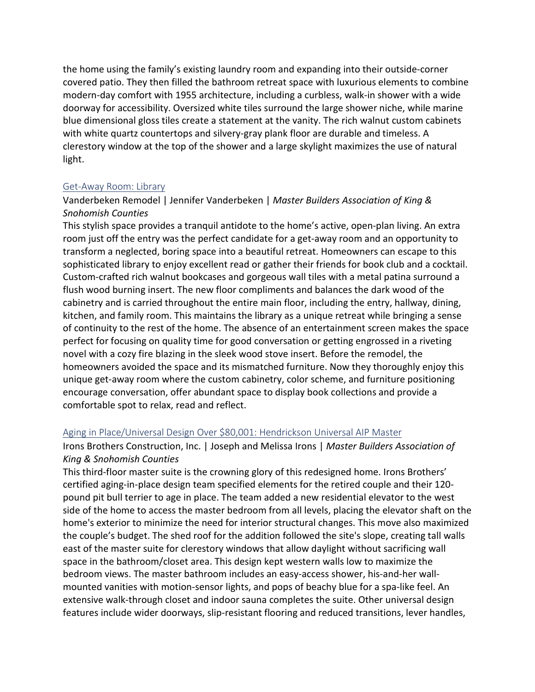the home using the family's existing laundry room and expanding into their outside-corner covered patio. They then filled the bathroom retreat space with luxurious elements to combine modern-day comfort with 1955 architecture, including a curbless, walk-in shower with a wide doorway for accessibility. Oversized white tiles surround the large shower niche, while marine blue dimensional gloss tiles create a statement at the vanity. The rich walnut custom cabinets with white quartz countertops and silvery-gray plank floor are durable and timeless. A clerestory window at the top of the shower and a large skylight maximizes the use of natural light.

#### Get-Away Room: Library

#### Vanderbeken Remodel | Jennifer Vanderbeken | *Master Builders Association of King & Snohomish Counties*

This stylish space provides a tranquil antidote to the home's active, open-plan living. An extra room just off the entry was the perfect candidate for a get-away room and an opportunity to transform a neglected, boring space into a beautiful retreat. Homeowners can escape to this sophisticated library to enjoy excellent read or gather their friends for book club and a cocktail. Custom-crafted rich walnut bookcases and gorgeous wall tiles with a metal patina surround a flush wood burning insert. The new floor compliments and balances the dark wood of the cabinetry and is carried throughout the entire main floor, including the entry, hallway, dining, kitchen, and family room. This maintains the library as a unique retreat while bringing a sense of continuity to the rest of the home. The absence of an entertainment screen makes the space perfect for focusing on quality time for good conversation or getting engrossed in a riveting novel with a cozy fire blazing in the sleek wood stove insert. Before the remodel, the homeowners avoided the space and its mismatched furniture. Now they thoroughly enjoy this unique get-away room where the custom cabinetry, color scheme, and furniture positioning encourage conversation, offer abundant space to display book collections and provide a comfortable spot to relax, read and reflect.

#### Aging in Place/Universal Design Over \$80,001: Hendrickson Universal AIP Master

## Irons Brothers Construction, Inc. | Joseph and Melissa Irons | *Master Builders Association of King & Snohomish Counties*

This third-floor master suite is the crowning glory of this redesigned home. Irons Brothers' certified aging-in-place design team specified elements for the retired couple and their 120 pound pit bull terrier to age in place. The team added a new residential elevator to the west side of the home to access the master bedroom from all levels, placing the elevator shaft on the home's exterior to minimize the need for interior structural changes. This move also maximized the couple's budget. The shed roof for the addition followed the site's slope, creating tall walls east of the master suite for clerestory windows that allow daylight without sacrificing wall space in the bathroom/closet area. This design kept western walls low to maximize the bedroom views. The master bathroom includes an easy-access shower, his-and-her wallmounted vanities with motion-sensor lights, and pops of beachy blue for a spa-like feel. An extensive walk-through closet and indoor sauna completes the suite. Other universal design features include wider doorways, slip-resistant flooring and reduced transitions, lever handles,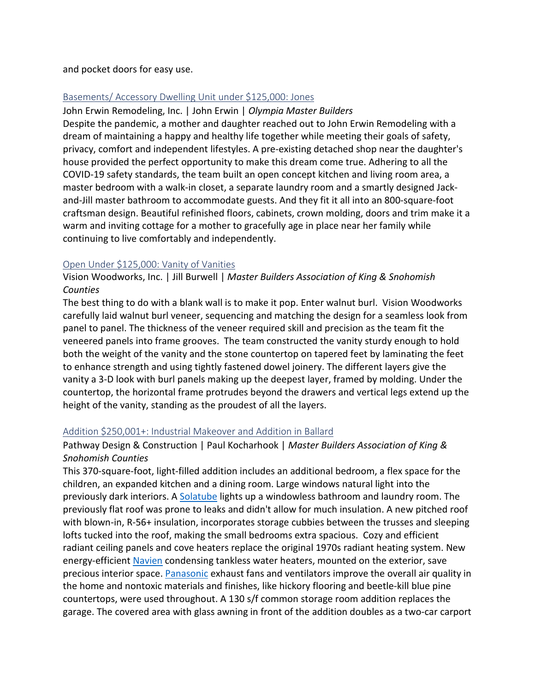and pocket doors for easy use.

## Basements/ Accessory Dwelling Unit under \$125,000: Jones

John Erwin Remodeling, Inc. | John Erwin | *Olympia Master Builders* Despite the pandemic, a mother and daughter reached out to John Erwin Remodeling with a dream of maintaining a happy and healthy life together while meeting their goals of safety, privacy, comfort and independent lifestyles. A pre-existing detached shop near the daughter's house provided the perfect opportunity to make this dream come true. Adhering to all the COVID-19 safety standards, the team built an open concept kitchen and living room area, a master bedroom with a walk-in closet, a separate laundry room and a smartly designed Jackand-Jill master bathroom to accommodate guests. And they fit it all into an 800-square-foot craftsman design. Beautiful refinished floors, cabinets, crown molding, doors and trim make it a warm and inviting cottage for a mother to gracefully age in place near her family while continuing to live comfortably and independently.

#### Open Under \$125,000: Vanity of Vanities

Vision Woodworks, Inc. | Jill Burwell | *Master Builders Association of King & Snohomish Counties*

The best thing to do with a blank wall is to make it pop. Enter walnut burl. Vision Woodworks carefully laid walnut burl veneer, sequencing and matching the design for a seamless look from panel to panel. The thickness of the veneer required skill and precision as the team fit the veneered panels into frame grooves. The team constructed the vanity sturdy enough to hold both the weight of the vanity and the stone countertop on tapered feet by laminating the feet to enhance strength and using tightly fastened dowel joinery. The different layers give the vanity a 3-D look with burl panels making up the deepest layer, framed by molding. Under the countertop, the horizontal frame protrudes beyond the drawers and vertical legs extend up the height of the vanity, standing as the proudest of all the layers.

## Addition \$250,001+: Industrial Makeover and Addition in Ballard

## Pathway Design & Construction | Paul Kocharhook | *Master Builders Association of King & Snohomish Counties*

This 370-square-foot, light-filled addition includes an additional bedroom, a flex space for the children, an expanded kitchen and a dining room. Large windows natural light into the previously dark interiors. A [Solatube](https://www.solatube.com/) lights up a windowless bathroom and laundry room. The previously flat roof was prone to leaks and didn't allow for much insulation. A new pitched roof with blown-in, R-56+ insulation, incorporates storage cubbies between the trusses and sleeping lofts tucked into the roof, making the small bedrooms extra spacious. Cozy and efficient radiant ceiling panels and cove heaters replace the original 1970s radiant heating system. New energy-efficient [Navien](https://www.navieninc.com/) condensing tankless water heaters, mounted on the exterior, save precious interior space. [Panasonic](https://na.panasonic.com/us/home-and-building-solutions/ventilation-indoor-air-quality/) exhaust fans and ventilators improve the overall air quality in the home and nontoxic materials and finishes, like hickory flooring and beetle-kill blue pine countertops, were used throughout. A 130 s/f common storage room addition replaces the garage. The covered area with glass awning in front of the addition doubles as a two-car carport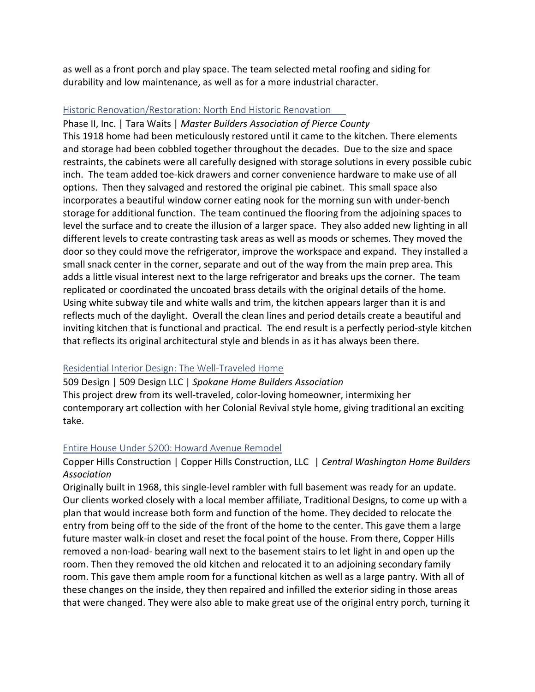as well as a front porch and play space. The team selected metal roofing and siding for durability and low maintenance, as well as for a more industrial character.

#### Historic Renovation/Restoration: North End Historic Renovation

Phase II, Inc. | Tara Waits | *Master Builders Association of Pierce County*

This 1918 home had been meticulously restored until it came to the kitchen. There elements and storage had been cobbled together throughout the decades. Due to the size and space restraints, the cabinets were all carefully designed with storage solutions in every possible cubic inch. The team added toe-kick drawers and corner convenience hardware to make use of all options. Then they salvaged and restored the original pie cabinet. This small space also incorporates a beautiful window corner eating nook for the morning sun with under-bench storage for additional function. The team continued the flooring from the adjoining spaces to level the surface and to create the illusion of a larger space. They also added new lighting in all different levels to create contrasting task areas as well as moods or schemes. They moved the door so they could move the refrigerator, improve the workspace and expand. They installed a small snack center in the corner, separate and out of the way from the main prep area. This adds a little visual interest next to the large refrigerator and breaks ups the corner. The team replicated or coordinated the uncoated brass details with the original details of the home. Using white subway tile and white walls and trim, the kitchen appears larger than it is and reflects much of the daylight. Overall the clean lines and period details create a beautiful and inviting kitchen that is functional and practical. The end result is a perfectly period-style kitchen that reflects its original architectural style and blends in as it has always been there.

#### Residential Interior Design: The Well-Traveled Home

509 Design | 509 Design LLC | *Spokane Home Builders Association* This project drew from its well-traveled, color-loving homeowner, intermixing her contemporary art collection with her Colonial Revival style home, giving traditional an exciting take.

#### Entire House Under \$200: Howard Avenue Remodel

Copper Hills Construction | Copper Hills Construction, LLC | *Central Washington Home Builders Association* 

Originally built in 1968, this single-level rambler with full basement was ready for an update. Our clients worked closely with a local member affiliate, Traditional Designs, to come up with a plan that would increase both form and function of the home. They decided to relocate the entry from being off to the side of the front of the home to the center. This gave them a large future master walk-in closet and reset the focal point of the house. From there, Copper Hills removed a non-load- bearing wall next to the basement stairs to let light in and open up the room. Then they removed the old kitchen and relocated it to an adjoining secondary family room. This gave them ample room for a functional kitchen as well as a large pantry. With all of these changes on the inside, they then repaired and infilled the exterior siding in those areas that were changed. They were also able to make great use of the original entry porch, turning it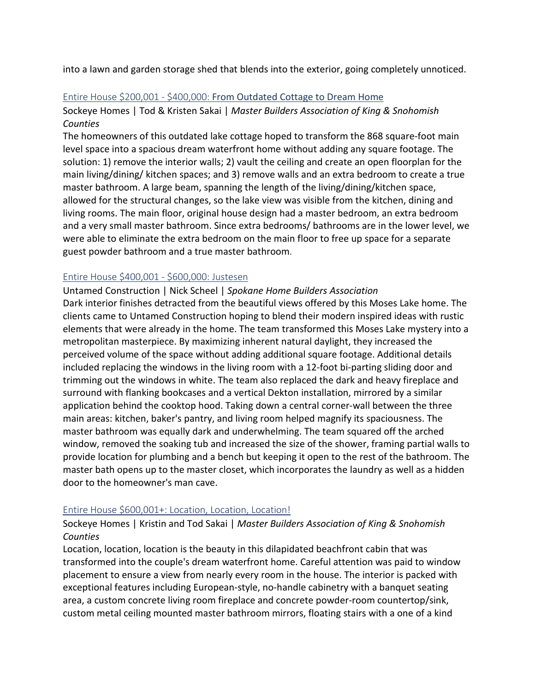into a lawn and garden storage shed that blends into the exterior, going completely unnoticed.

#### Entire House \$200,001 - \$400,000: From Outdated Cottage to Dream Home

Sockeye Homes | Tod & Kristen Sakai | *Master Builders Association of King & Snohomish Counties*

The homeowners of this outdated lake cottage hoped to transform the 868 square-foot main level space into a spacious dream waterfront home without adding any square footage. The solution: 1) remove the interior walls; 2) vault the ceiling and create an open floorplan for the main living/dining/ kitchen spaces; and 3) remove walls and an extra bedroom to create a true master bathroom. A large beam, spanning the length of the living/dining/kitchen space, allowed for the structural changes, so the lake view was visible from the kitchen, dining and living rooms. The main floor, original house design had a master bedroom, an extra bedroom and a very small master bathroom. Since extra bedrooms/ bathrooms are in the lower level, we were able to eliminate the extra bedroom on the main floor to free up space for a separate guest powder bathroom and a true master bathroom.

#### Entire House \$400,001 - \$600,000: Justesen

Untamed Construction | Nick Scheel | *Spokane Home Builders Association*

Dark interior finishes detracted from the beautiful views offered by this Moses Lake home. The clients came to Untamed Construction hoping to blend their modern inspired ideas with rustic elements that were already in the home. The team transformed this Moses Lake mystery into a metropolitan masterpiece. By maximizing inherent natural daylight, they increased the perceived volume of the space without adding additional square footage. Additional details included replacing the windows in the living room with a 12-foot bi-parting sliding door and trimming out the windows in white. The team also replaced the dark and heavy fireplace and surround with flanking bookcases and a vertical Dekton installation, mirrored by a similar application behind the cooktop hood. Taking down a central corner-wall between the three main areas: kitchen, baker's pantry, and living room helped magnify its spaciousness. The master bathroom was equally dark and underwhelming. The team squared off the arched window, removed the soaking tub and increased the size of the shower, framing partial walls to provide location for plumbing and a bench but keeping it open to the rest of the bathroom. The master bath opens up to the master closet, which incorporates the laundry as well as a hidden door to the homeowner's man cave.

## Entire House \$600,001+: Location, Location, Location!

## Sockeye Homes | Kristin and Tod Sakai | *Master Builders Association of King & Snohomish Counties*

Location, location, location is the beauty in this dilapidated beachfront cabin that was transformed into the couple's dream waterfront home. Careful attention was paid to window placement to ensure a view from nearly every room in the house. The interior is packed with exceptional features including European-style, no-handle cabinetry with a banquet seating area, a custom concrete living room fireplace and concrete powder-room countertop/sink, custom metal ceiling mounted master bathroom mirrors, floating stairs with a one of a kind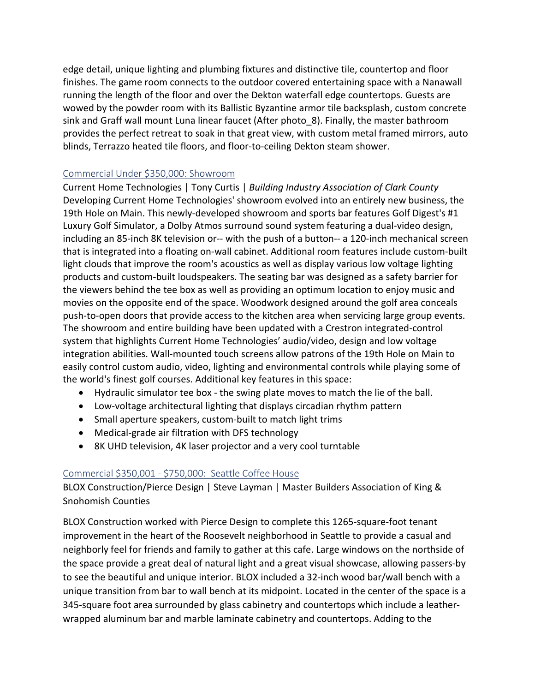edge detail, unique lighting and plumbing fixtures and distinctive tile, countertop and floor finishes. The game room connects to the outdoor covered entertaining space with a Nanawall running the length of the floor and over the Dekton waterfall edge countertops. Guests are wowed by the powder room with its Ballistic Byzantine armor tile backsplash, custom concrete sink and Graff wall mount Luna linear faucet (After photo\_8). Finally, the master bathroom provides the perfect retreat to soak in that great view, with custom metal framed mirrors, auto blinds, Terrazzo heated tile floors, and floor-to-ceiling Dekton steam shower.

## Commercial Under \$350,000: Showroom

Current Home Technologies | Tony Curtis | *Building Industry Association of Clark County* Developing Current Home Technologies' showroom evolved into an entirely new business, the 19th Hole on Main. This newly-developed showroom and sports bar features Golf Digest's #1 Luxury Golf Simulator, a Dolby Atmos surround sound system featuring a dual-video design, including an 85-inch 8K television or-- with the push of a button-- a 120-inch mechanical screen that is integrated into a floating on-wall cabinet. Additional room features include custom-built light clouds that improve the room's acoustics as well as display various low voltage lighting products and custom-built loudspeakers. The seating bar was designed as a safety barrier for the viewers behind the tee box as well as providing an optimum location to enjoy music and movies on the opposite end of the space. Woodwork designed around the golf area conceals push-to-open doors that provide access to the kitchen area when servicing large group events. The showroom and entire building have been updated with a Crestron integrated-control system that highlights Current Home Technologies' audio/video, design and low voltage integration abilities. Wall-mounted touch screens allow patrons of the 19th Hole on Main to easily control custom audio, video, lighting and environmental controls while playing some of the world's finest golf courses. Additional key features in this space:

- Hydraulic simulator tee box the swing plate moves to match the lie of the ball.
- Low-voltage architectural lighting that displays circadian rhythm pattern
- Small aperture speakers, custom-built to match light trims
- Medical-grade air filtration with DFS technology
- 8K UHD television, 4K laser projector and a very cool turntable

# Commercial \$350,001 - \$750,000: Seattle Coffee House

BLOX Construction/Pierce Design | Steve Layman | Master Builders Association of King & Snohomish Counties

BLOX Construction worked with Pierce Design to complete this 1265-square-foot tenant improvement in the heart of the Roosevelt neighborhood in Seattle to provide a casual and neighborly feel for friends and family to gather at this cafe. Large windows on the northside of the space provide a great deal of natural light and a great visual showcase, allowing passers-by to see the beautiful and unique interior. BLOX included a 32-inch wood bar/wall bench with a unique transition from bar to wall bench at its midpoint. Located in the center of the space is a 345-square foot area surrounded by glass cabinetry and countertops which include a leatherwrapped aluminum bar and marble laminate cabinetry and countertops. Adding to the